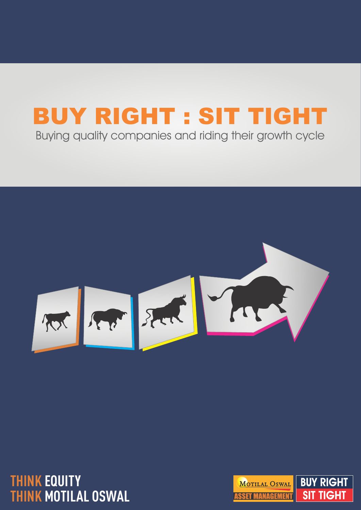# BUY RIGHT : SIT TIGHT

Buying quality companies and riding their growth cycle



**THINK EQUITY THINK MOTILAL OSWAL**

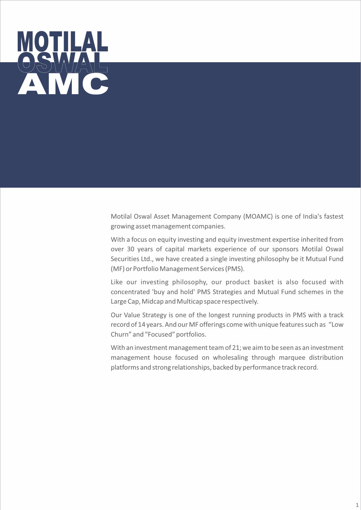

Motilal Oswal Asset Management Company (MOAMC) is one of India's fastest growing asset management companies.

With a focus on equity investing and equity investment expertise inherited from over 30 years of capital markets experience of our sponsors Motilal Oswal Securities Ltd., we have created a single investing philosophy be it Mutual Fund (MF) or Portfolio Management Services (PMS).

Like our investing philosophy, our product basket is also focused with concentrated 'buy and hold' PMS Strategies and Mutual Fund schemes in the Large Cap, Midcap and Multicap space respectively.

Our Value Strategy is one of the longest running products in PMS with a track record of 14 years. And our MF offerings come with unique features such as "Low Churn" and "Focused" portfolios.

With an investment management team of 21; we aim to be seen as an investment management house focused on wholesaling through marquee distribution platforms and strong relationships, backed by performance track record.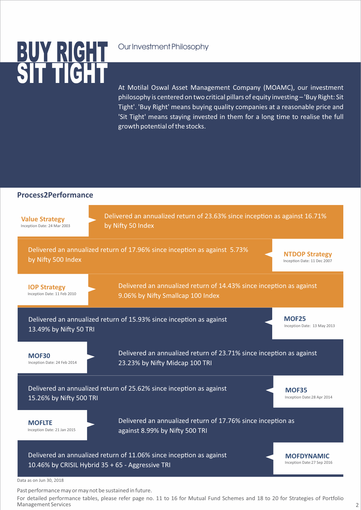## SIT TIGHT <u>BUT RIUHI </u>

### Our Investment Philosophy

At Motilal Oswal Asset Management Company (MOAMC), our investment philosophy is centered on two critical pillars of equity investing – 'Buy Right: Sit Tight'. 'Buy Right' means buying quality companies at a reasonable price and 'Sit Tight' means staying invested in them for a long time to realise the full growth potential of the stocks.



Past performance may or may not be sustained in future.

For detailed performance tables, please refer page no. 11 to 16 for Mutual Fund Schemes and 18 to 20 for Strategies of Portfolio Management Services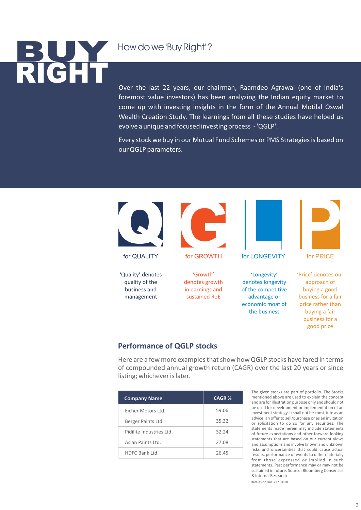### How do we 'Buy Right' ?

# RIGHT **BUY**

Over the last 22 years, our chairman, Raamdeo Agrawal (one of India's foremost value investors) has been analyzing the Indian equity market to come up with investing insights in the form of the Annual Motilal Oswal Wealth Creation Study. The learnings from all these studies have helped us evolve a unique and focused investing process - 'QGLP'.

Every stock we buy in our Mutual Fund Schemes or PMS Strategies is based on our QGLP parameters.



#### **Performance of QGLP stocks**

Here are a few more examples that show how QGLP stocks have fared in terms of compounded annual growth return (CAGR) over the last 20 years or since listing; whichever is later.

| <b>Company Name</b>      | <b>CAGR%</b> |
|--------------------------|--------------|
| Ficher Motors Ltd.       | 59.06        |
| Berger Paints Ltd.       | 35.32        |
| Pidilite Industries Itd. | 32.24        |
| Asian Paints Ltd.        | 27.08        |
| HDFC Bank Itd.           | 26.45        |

The given stocks are part of portfolio. The Stocks mentioned above are used to explain the concept and are for illustration purpose only and should not be used for development or implementation of an investment strategy. It shall not be constitute as an advice, an offer to sell/purchase or as an invitation or solicitation to do so for any securities. The statements made herein may include statements of future expectations and other forward-looking statements that are based on our current views and assumptions and involve known and unknown risks and uncertainties that could cause actual results, performance or events to differ materially from those expressed or implied in such statements. Past performance may or may not be sustained in future. Source: Bloomberg Consensus & Internal Research

Data as on Jun 30<sup>th</sup>, 2018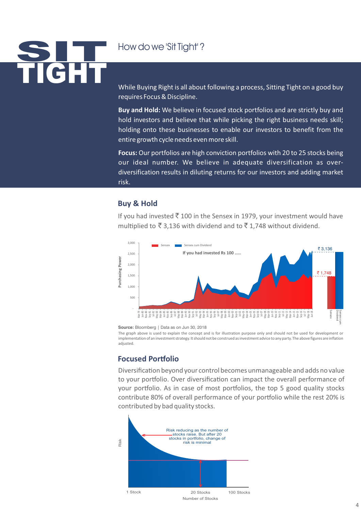# TIGHT SIT

### How do we 'Sit Tight' ?

While Buying Right is all about following a process, Sitting Tight on a good buy requires Focus & Discipline.

**Buy and Hold:** We believe in focused stock portfolios and are strictly buy and hold investors and believe that while picking the right business needs skill; holding onto these businesses to enable our investors to benefit from the entire growth cycle needs even more skill.

**Focus:** Our portfolios are high conviction portfolios with 20 to 25 stocks being our ideal number. We believe in adequate diversification as overdiversification results in diluting returns for our investors and adding market risk.

#### **Buy & Hold**

If you had invested  $\bar{\tau}$  100 in the Sensex in 1979, your investment would have multiplied to  $\bar{\mathfrak{g}}$  3.136 with dividend and to  $\bar{\mathfrak{g}}$  1.748 without dividend.



**Source:** Bloomberg | Data as on Jun 30, 2018

The graph above is used to explain the concept and is for illustration purpose only and should not be used for development or implementation of an investment strategy. It should not be construed as investment advice to any party. The above figures are inflation adjusted.

#### **Focused Portfolio**

Diversification beyond your control becomes unmanageable and adds no value to your portfolio. Over diversification can impact the overall performance of your portfolio. As in case of most portfolios, the top 5 good quality stocks contribute 80% of overall performance of your portfolio while the rest 20% is contributed by bad quality stocks.

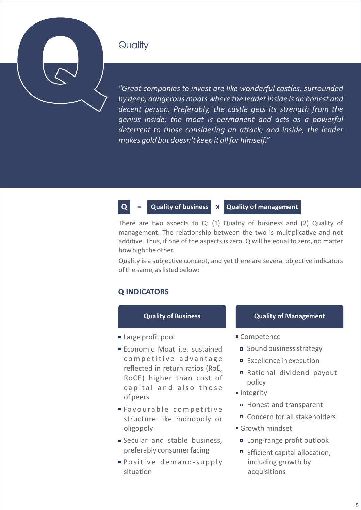### **Quality**

Q

*"Great companies to invest are like wonderful castles, surrounded by deep, dangerous moats where the leader inside is an honest and decent person. Preferably, the castle gets its strength from the genius inside; the moat is permanent and acts as a powerful deterrent to those considering an attack; and inside, the leader makes gold but doesn't keep it all for himself."* 

#### **Quality of business x Quality of management**

There are two aspects to Q: (1) Quality of business and (2) Quality of management. The relationship between the two is multiplicative and not additive. Thus, if one of the aspects is zero,  $Q$  will be equal to zero, no matter how high the other.

Quality is a subjective concept, and yet there are several objective indicators of the same, as listed below:

#### **Q INDICATORS**

**Q =**

#### **Quality of Business**

- Large profit pool
- **Economic Moat i.e. sustained** competitive advantage reflected in return ratios (RoE, RoCE) higher than cost of capital and also those of peers
- Favourable competitive structure like monopoly or oligopoly
- Secular and stable business, preferably consumer facing
- **Positive demand-supply** situation

#### **Quality of Management**

- Competence
	- Sound business strategy
	- Excellence in execution
	- Rational dividend payout policy
- Integrity
	- Honest and transparent
	- Concern for all stakeholders
- Growth mindset
	- Long-range profit outlook
	- □ Efficient capital allocation, including growth by acquisitions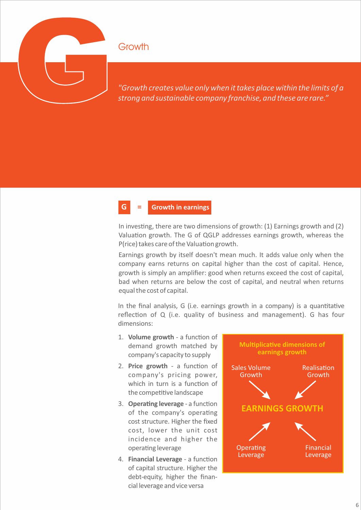

### **Growth**

#### **G = Growth in earnings**

In investing, there are two dimensions of growth:  $(1)$  Earnings growth and  $(2)$ Valuation growth. The G of QGLP addresses earnings growth, whereas the P(rice) takes care of the Valuation growth.

Earnings growth by itself doesn't mean much. It adds value only when the company earns returns on capital higher than the cost of capital. Hence, growth is simply an amplifier: good when returns exceed the cost of capital, bad when returns are below the cost of capital, and neutral when returns equal the cost of capital.

In the final analysis,  $G$  (i.e. earnings growth in a company) is a quantitative reflection of  $Q$  (i.e. quality of business and management). G has four dimensions:

- 1. **Volume growth** a function of demand growth matched by company's capacity to supply
- 2. Price growth a function of company's pricing power, which in turn is a function of the competitive landscape
- 3. **Operating leverage** a function of the company's operating cost structure. Higher the fixed cost, lower the unit cost incidence and higher the operating leverage
- 4. **Financial Leverage** a function of capital structure. Higher the debt-equity, higher the financial leverage and vice versa

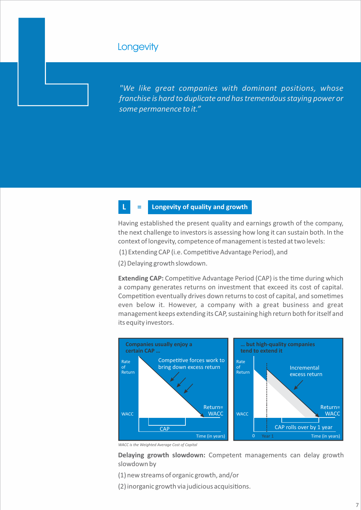### **Longevity**

L

*"We like great companies with dominant positions, whose franchise is hard to duplicate and has tremendous staying power or some permanence to it."* 

#### **Longevity of quality and growth**

Having established the present quality and earnings growth of the company, the next challenge to investors is assessing how long it can sustain both. In the context of longevity, competence of management is tested at two levels:

(1) Extending CAP (i.e. Competitive Advantage Period), and

(2) Delaying growth slowdown.

**Extending CAP:** Competitive Advantage Period (CAP) is the time during which a company generates returns on investment that exceed its cost of capital. Competition eventually drives down returns to cost of capital, and sometimes even below it. However, a company with a great business and great management keeps extending its CAP, sustaining high return both for itself and its equity investors.



*WACC is the Weighted Average Cost of Capital*

**Delaying growth slowdown:** Competent managements can delay growth slowdown by

(1) new streams of organic growth, and/or

(2) inorganic growth via judicious acquisions.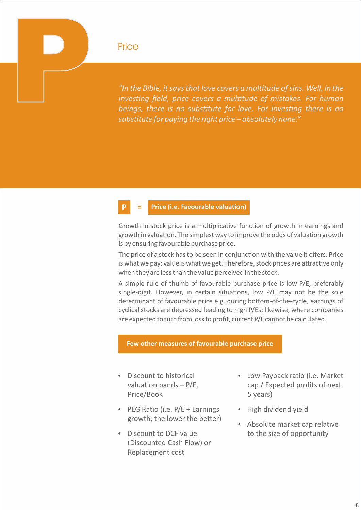"In the Bible, it says that love covers a multitude of sins. Well, in the Price<br>Price Price<br>Price Price Price *in the Bible, it says that love covers a multitude of sins. Well, in the<br>investing field, price covers a multitude of mistakes. For human<br>beings, there is no substitute for love. For in investing field, price covers a multitude of mistakes. For human beings, there is no substitute for love. For investing there is no substute for paying the right price – absolutely none."*

#### **Price (i.e. Favourable valuation)**

Growth in stock price is a multiplicative function of growth in earnings and growth in valuation. The simplest way to improve the odds of valuation growth is by ensuring favourable purchase price.

The price of a stock has to be seen in conjunction with the value it offers. Price is what we pay; value is what we get. Therefore, stock prices are attractive only when they are less than the value perceived in the stock.

A simple rule of thumb of favourable purchase price is low P/E, preferably single-digit. However, in certain situations, low P/E may not be the sole determinant of favourable price e.g. during bottom-of-the-cycle, earnings of cyclical stocks are depressed leading to high P/Es; likewise, where companies are expected to turn from loss to profit, current P/E cannot be calculated.

#### **Few other measures of favourable purchase price**

- Discount to historical valuation bands – P/E, Price/Book
- PEG Ratio (i.e.  $P/E \div$  Earnings growth; the lower the better)
- Discount to DCF value (Discounted Cash Flow) or Replacement cost
- Low Payback ratio (i.e. Market cap / Expected profits of next 5 years)
- High dividend yield
- Absolute market cap relative to the size of opportunity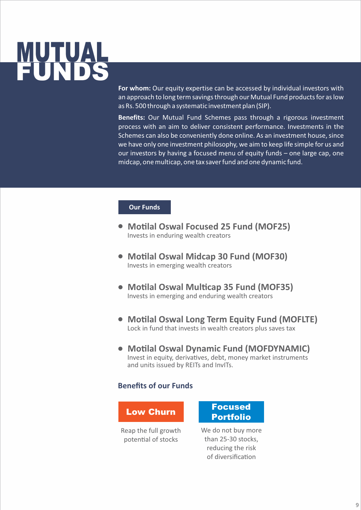## **MUTUAL** FUNDS

**For whom:** Our equity expertise can be accessed by individual investors with an approach to long term savings through our Mutual Fund products for as low as Rs. 500 through a systematic investment plan (SIP).

**Benefits:** Our Mutual Fund Schemes pass through a rigorous investment process with an aim to deliver consistent performance. Investments in the Schemes can also be conveniently done online. As an investment house, since we have only one investment philosophy, we aim to keep life simple for us and our investors by having a focused menu of equity funds – one large cap, one midcap, one multicap, one tax saver fund and one dynamic fund.

#### **Our Funds**

- **Motilal Oswal Focused 25 Fund (MOF25)** Invests in enduring wealth creators
- **Motilal Oswal Midcap 30 Fund (MOF30)** Invests in emerging wealth creators
- Motilal Oswal Multicap 35 Fund (MOF35) Invests in emerging and enduring wealth creators
- **Motilal Oswal Long Term Equity Fund (MOFLTE)** Lock in fund that invests in wealth creators plus saves tax
- **Motilal Oswal Dynamic Fund (MOFDYNAMIC)** Invest in equity, derivatives, debt, money market instruments and units issued by REITs and InvITs.

#### **Benefits of our Funds**

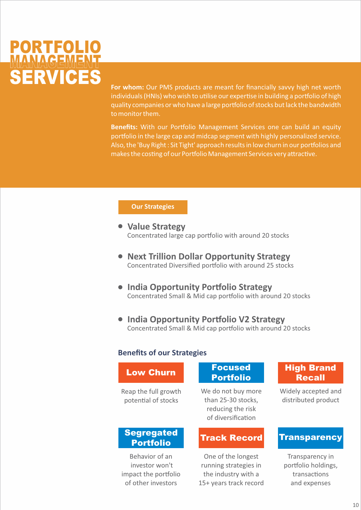

**For whom:** Our PMS products are meant for financially savvy high net worth individuals (HNIs) who wish to utilise our expertise in building a portfolio of high quality companies or who have a large portfolio of stocks but lack the bandwidth to monitor them.

**Benefits:** With our Portfolio Management Services one can build an equity portfolio in the large cap and midcap segment with highly personalized service. Also, the 'Buy Right : Sit Tight' approach results in low churn in our portfolios and makes the costing of our Portfolio Management Services very attractive.

#### **Our Strategies**

- **Value Strategy** Concentrated large cap portfolio with around 20 stocks
- **Next Trillion Dollar Opportunity Strategy** Concentrated Diversified portfolio with around 25 stocks
- **India Opportunity Portfolio Strategy** Concentrated Small & Mid cap portfolio with around 20 stocks
- **India Opportunity Portfolio V2 Strategy** Concentrated Small & Mid cap portfolio with around 20 stocks

#### **Benefits of our Strategies**

#### Reap the full growth potential of stocks Low Churn We do not buy more than 25-30 stocks, reducing the risk of diversification Portfolio Recall Behavior of an investor won't **Segregated** Portfolio One of the longest running strategies in Track Record Transparency

impact the portfolio of other investors

### Focused

the industry with a 15+ years track record

### High Brand

Widely accepted and distributed product

Transparency in portfolio holdings, transactions and expenses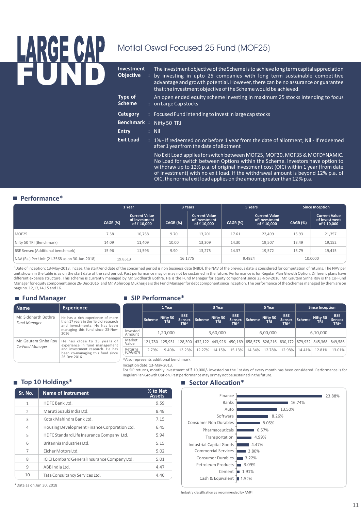# LARGE CAP Motilal Oswal Focused 25 Fund (MOF25) FUND **Investment**

| <b>Investment</b><br><b>Objective</b> | The investment objective of the Scheme is to achieve long term capital appreciation<br>by investing in upto 25 companies with long term sustainable competitive<br>advantage and growth potential. However, there can be no assurance or guarantee<br>that the investment objective of the Scheme would be achieved.                 |
|---------------------------------------|--------------------------------------------------------------------------------------------------------------------------------------------------------------------------------------------------------------------------------------------------------------------------------------------------------------------------------------|
| Type of<br><b>Scheme</b>              | An open ended equity scheme investing in maximum 25 stocks intending to focus<br>: on Large Cap stocks                                                                                                                                                                                                                               |
| Category                              | : Focused Fund intending to invest in large cap stocks                                                                                                                                                                                                                                                                               |
| <b>Benchmark:</b>                     | Nifty 50 TRI                                                                                                                                                                                                                                                                                                                         |
| <b>Entry</b>                          | $:$ Nil                                                                                                                                                                                                                                                                                                                              |
| <b>Exit Load</b>                      | : 1% - If redeemed on or before 1 year from the date of allotment; Nil - If redeemed<br>after 1 year from the date of allotment                                                                                                                                                                                                      |
|                                       | No Exit Load applies for switch between MOF25, MOF30, MOF35 & MOFDYNAMIC.<br>No Load for switch between Options within the Scheme. Investors have option to<br>withdraw up to 12% p.a. of original investment cost (OIC) within 1 year (from date<br>of investment) with no exit load. If the withdrawal amount is heyond 12% n a of |

of investment) with no exit load. If the withdrawal amount is beyond 12% p.a. of OIC, the normal exit load applies on the amount greater than 12 % p.a.

#### **Performance\***

|                                                |                 | 1 Year                                               | 3 Years         |                                                     |                 | 5 Years                                              | Since Inception |                                                     |  |
|------------------------------------------------|-----------------|------------------------------------------------------|-----------------|-----------------------------------------------------|-----------------|------------------------------------------------------|-----------------|-----------------------------------------------------|--|
|                                                | <b>CAGR (%)</b> | <b>Current Value</b><br>of Investment<br>of ₹ 10,000 | <b>CAGR (%)</b> | <b>Current Value</b><br>of Investment<br>of ₹10,000 | <b>CAGR (%)</b> | <b>Current Value</b><br>of Investment<br>of ₹ 10,000 | <b>CAGR (%)</b> | <b>Current Value</b><br>of Investment<br>of ₹10,000 |  |
| MOF25                                          | 7.58            | 10,758                                               | 9.70            | 13,201                                              | 17.61           | 22.499                                               | 15.93           | 21,357                                              |  |
| Nifty 50 TRI (Benchmark)                       | 14.09           | 11,409                                               | 10.00           | 13,309                                              | 14.30           | 19,507                                               | 13.49           | 19,152                                              |  |
| BSE Sensex (Additional benchmark)              | 15.96           | 11,596                                               | 9.90            | 13,275                                              | 14.37           | 19,572                                               | 13.79           | 19,415                                              |  |
| NAV (Rs.) Per Unit (21.3568 as on 30-Jun-2018) |                 | 19.8513                                              |                 | 16.1775                                             |                 | 9.4924                                               | 10.0000         |                                                     |  |

"Date of inception: 13-May-2013. Incase, the start/end date of the concerned period is non business date (NBD), the NAV of the previous date is considered for computation of returns. The NAV per unit shown in the table is as on the start date of the said period. Past performance may or may not be sustained in the future. Performance is for Regular Plan Growth Option. Different plans have different expense structure. This scheme is currently managed by Mr. Siddharth Bothra. He is the Fund Manager for equity component since 23-Nov-2016; Mr. Gautam Sinha Roy is the Co-Fund Manager for equity component since 26-Dec-2016 and Mr. Abhiroop Mukherjee is the Fund Manager for debt component since inception. The performance of the Schemes managed by them are on page no. 12,13,14,15 and 16.

#### **Fund Manager**

| <b>Name</b>                                 | <b>Experience</b>                                                                                          |                                       | 1 Year |                                        |                                                                                                 | 3 Year |                            |                                                 |        | 5 Year                 |                                            | <b>Since Inception</b> |                        |                                                 |
|---------------------------------------------|------------------------------------------------------------------------------------------------------------|---------------------------------------|--------|----------------------------------------|-------------------------------------------------------------------------------------------------|--------|----------------------------|-------------------------------------------------|--------|------------------------|--------------------------------------------|------------------------|------------------------|-------------------------------------------------|
| Mr. Siddharth Bothra<br><b>Fund Manager</b> | He has a rich experience of more<br>than 17 years in the field of research<br>and investments. He has been |                                       | Scheme | $\vert$ Nifty 50 $\vert$<br><b>TRI</b> | <b>BSE</b><br><b>Sensex</b><br>TRI <sup>^</sup>                                                 | Scheme | Nifty 50 $ $<br><b>TRI</b> | <b>BSE</b><br><b>Sensex</b><br>TRI <sup>^</sup> | Scheme | Nifty 50<br><b>TRI</b> | <b>BSE</b><br><b>Sensex</b><br><b>TRI^</b> | Scheme                 | Nifty 50<br><b>TRI</b> | <b>BSE</b><br><b>Sensex</b><br>TRI <sup>^</sup> |
|                                             | managing this fund since 23-Nov-<br>2016                                                                   | Invested<br>Amount                    |        | 1,20,000                               |                                                                                                 |        | 3,60,000                   |                                                 |        | 6,00,000               |                                            |                        | 6,10,000               |                                                 |
| Mr. Gautam Sinha Roy<br>Co-Fund Manager     | He has close to 15 years of<br>experience in fund management                                               | Market<br>Value                       |        |                                        | 121,780 125,931 128,300 432,122 443,926 450,169 858,575 826,216 830,172 879,932 845,368 849,586 |        |                            |                                                 |        |                        |                                            |                        |                        |                                                 |
|                                             | and investment research. He has<br>been co-managing this fund since                                        | Returns<br>$(CAGR)\%$                 | 2.79%  | 9.40%                                  | 13.23%                                                                                          | 12.27% | 14.15%                     | 15.13%                                          | 14.34% | 12.78%                 | 12.98%                                     | 14.41%                 | 12.81%                 | 13.01%                                          |
|                                             | 26-Dec-2016                                                                                                | ^Also represents additional benchmark |        |                                        |                                                                                                 |        |                            |                                                 |        |                        |                                            |                        |                        |                                                 |

Inception date: 13-May-2013.

**SIP Performance\***

For SIP returns, monthly investment of  $\bar{z}$  10,000/- invested on the 1st day of every month has been considered. Performance is for Regular Plan Growth Option. Past performance may or may not be sustained in the future.

#### **Top 10 Holdings\* Sector Allocation**\*

| Sr. No.        | <b>Name of Instrument</b>                    | % to Net<br><b>Assets</b> |
|----------------|----------------------------------------------|---------------------------|
| 1              | HDFC Bank Ltd.                               | 9.59                      |
| 2              | Maruti Suzuki India Ltd.                     | 8.48                      |
| 3              | Kotak Mahindra Bank Ltd.                     | 7.15                      |
| $\overline{4}$ | Housing Development Finance Corporation Ltd. | 6.45                      |
| 5              | HDFC Standard Life Insurance Company Ltd.    | 5.94                      |
| 6              | Britannia Industries Ltd.                    | 5.15                      |
| 7              | Eicher Motors Ltd.                           | 5.02                      |
| 8              | ICICI Lombard General Insurance Company Ltd. | 5.01                      |
| 9              | ABB India Ltd.                               | 4.47                      |
| 10             | Tata Consultancy Services Ltd.               | 4.40                      |



\*Data as on Jun 30, 2018

Industry classification as recommended by AMFI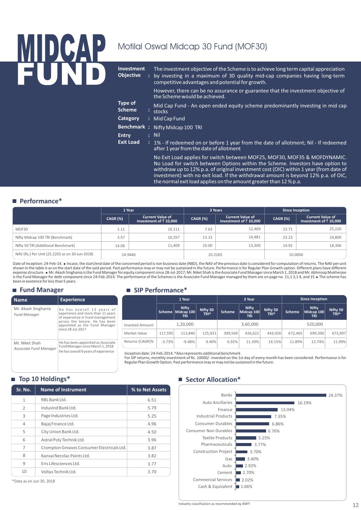# <u>MIDLOAP</u> FUND

### Motilal Oswal Midcap 30 Fund (MOF30)

| <b>Investment</b><br><b>Objective</b> | ÷ | The investment objective of the Scheme is to achieve long term capital appreciation<br>by investing in a maximum of 30 quality mid-cap companies having long-term<br>competitive advantages and potential for growth.                                |
|---------------------------------------|---|------------------------------------------------------------------------------------------------------------------------------------------------------------------------------------------------------------------------------------------------------|
|                                       |   | However, there can be no assurance or guarantee that the investment objective of<br>the Scheme would be achieved.                                                                                                                                    |
| Type of<br><b>Scheme</b>              |   | Mid Cap Fund - An open ended equity scheme predominantly investing in mid cap<br>: stocks                                                                                                                                                            |
| Category                              |   | : Mid Cap Fund                                                                                                                                                                                                                                       |
| <b>Benchmark:</b>                     |   | Nifty Midcap 100 TRI                                                                                                                                                                                                                                 |
| <b>Entry</b>                          |   | $\overline{\phantom{a}}$ : Nil                                                                                                                                                                                                                       |
| <b>Exit Load</b>                      |   | : 1% - If redeemed on or before 1 year from the date of allotment; Nil - If redeemed<br>after 1 year from the date of allotment                                                                                                                      |
|                                       |   | No Exit Load applies for switch between MOF25, MOF30, MOF35 & MOFDYNAMIC.<br>No Load for switch between Options within the Scheme. Investors have option to<br>withdraw up to 12% p.a. of original investment cost (OIC) within 1 year (from date of |

withdraw up to 12% p.a. of original investment cost (OIC) within 1 year (from date of investment) with no exit load. If the withdrawal amount is beyond 12% p.a. of OIC, the normal exit load applies on the amount greater than 12 % p.a.

#### **Performance\***

|                                                | 1 Year          |                                                  |                 | 3 Years                                                   | Since Inception |                                                           |  |  |
|------------------------------------------------|-----------------|--------------------------------------------------|-----------------|-----------------------------------------------------------|-----------------|-----------------------------------------------------------|--|--|
|                                                | <b>CAGR (%)</b> | <b>Current Value of</b><br>Investment of ₹10,000 | <b>CAGR (%)</b> | <b>Current Value of</b><br>Investment of $\bar{z}$ 10,000 | CAGR (%)        | <b>Current Value of</b><br>Investment of $\bar{z}$ 10,000 |  |  |
| MOF30                                          | 1.11            | 10,111                                           | 7.63            | 12,469                                                    | 23.71           | 25,220                                                    |  |  |
| Nifty Midcap 100 TRI (Benchmark)               | 3.57            | 10.357                                           | 13.13           | 14.481                                                    | 23.23           | 24,800                                                    |  |  |
| Nifty 50 TRI (Additional Benchmark)            | 14.09           | 11.409                                           | 10.00           | 13,309                                                    | 14.92           | 18,306                                                    |  |  |
| NAV (Rs.) Per Unit (25.2203 as on 30-Jun-2018) | 24.9446         |                                                  |                 | 20.2265                                                   | 10.0000         |                                                           |  |  |

Date of inception: 24-Feb-14. • Incase, the start/end date of the concerned period is non business date (NBD), the NAV of the previous date is considered for computation of returns. The NAV per unit shown in the table is as on the start date of the said period. Past performance may or may not be sustained in the future. Performance is for Regular Plan Growth option. Different plans have different<br>expense structure. ● is the Fund Manager for debt component since 24-Feb-2014. The performance of the Schemes is the Associate Fund Manager managed by them are on page no. 11,1 3,1 4, and 15 . The scheme has been in existence for less than 5 years.

**SIP Performance\***

#### **Fund Manager**

Mr.

**Name**

| -                                          |                                                                                                     |                                                                    |          |                                   |                  |               |                             |                              |               |                                   |                  |
|--------------------------------------------|-----------------------------------------------------------------------------------------------------|--------------------------------------------------------------------|----------|-----------------------------------|------------------|---------------|-----------------------------|------------------------------|---------------|-----------------------------------|------------------|
| <b>Name</b>                                | <b>Experience</b>                                                                                   |                                                                    |          | 1 Year                            |                  |               | 3 Year                      |                              |               | <b>Since Inception</b>            |                  |
| Mr. Akash Singhania<br><b>Fund Manager</b> | He has overall 13 years of<br>experience and more than 11 years<br>of experience in Fund management |                                                                    | Scheme   | <b>Nifty</b><br>Midcap 100<br>TRI | Nifty 50<br>TRI^ | <b>Scheme</b> | Nifty.<br>Midcap 100<br>TRI | Nifty 50<br>TRI <sup>^</sup> | <b>Scheme</b> | Nifty<br>Midcap 100 $\mid$<br>TRI | Nifty 50<br>TRI^ |
|                                            | across the tenure. He has been<br>appointed as the Fund Manager                                     | <b>Invested Amount</b>                                             |          | 1,20,000                          |                  |               | 3,60,000                    |                              |               | 520.000                           |                  |
|                                            | since 28-Jul-2017                                                                                   | Market Value                                                       | 117,595  | 113.840                           | 125,931          | 399,569       | 426,622                     | 443,926                      | 672,465       | 699,390                           | 673,997          |
| Mr. Niket Shah                             | He has been appointed as Associate<br>Fund Manager since March 1, 2018                              | Returns (CAGR)%                                                    | $-3.73%$ | $-9.48%$                          | 9.40%            | 6.92%         | 11.39%                      | 14.15%                       | 11.89%        | 13.74%                            | 11.99%           |
| Associate Fund Manager                     | He has overall 9 years of experience                                                                | Inception date: 24-Feb-2014. ^Also represents additional benchmark |          |                                   |                  |               |                             |                              |               |                                   |                  |

Inception date: 24-Feb-2014. ^Also represents additional benchmark<br>For SIP returns, monthly investment of Rs. 10000/- invested on the 1st day of every month has been considered. Performance is for<br>Regular Plan Growth Optio

#### **Top 10 Holdings\***

| Sr. No.        | <b>Name of Instrument</b>                  | % to Net Assets |
|----------------|--------------------------------------------|-----------------|
| 1              | RBL Bank Ltd.                              | 6.51            |
| $\mathcal{P}$  | IndusInd Bank Ltd.                         | 5.79            |
| 3              | Page Industries Ltd.                       | 5.25            |
| $\overline{4}$ | Bajaj Finance Ltd.                         | 4.96            |
| 5              | City Union Bank Ltd.                       | 4.50            |
| 6              | Astral Poly Technik Ltd.                   | 3.96            |
| 7              | Crompton Greaves Consumer Electricals Ltd. | 3.87            |
| 8              | Kansai Nerolac Paints Ltd.                 | 3.82            |
| 9              | Eris Lifesciences Ltd.                     | 3.77            |
| 10             | Voltas Technik I td.                       | 3.70            |

\*Data as on Jun 30, 2018

#### **Sector Allocation\***

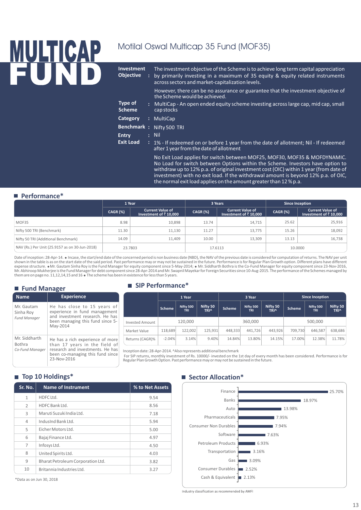## MULTICAP Motilal Oswal Multicap 35 Fund (MOF35) FUND

| <b>Investment</b><br><b>Objective</b> | The investment objective of the Scheme is to achieve long term capital appreciation<br>by primarily investing in a maximum of 35 equity & equity related instruments<br>across sectors and market-capitalization levels. |
|---------------------------------------|--------------------------------------------------------------------------------------------------------------------------------------------------------------------------------------------------------------------------|
|                                       | However, there can be no assurance or guarantee that the investment objective of<br>the Scheme would be achieved.                                                                                                        |
| Type of<br><b>Scheme</b>              | : MultiCap - An open ended equity scheme investing across large cap, mid cap, small<br>cap stocks                                                                                                                        |
| <b>Category</b>                       | : MultiCap                                                                                                                                                                                                               |
| <b>Benchmark:</b>                     | Nifty 500 TRI                                                                                                                                                                                                            |
| <b>Entry</b>                          | $:$ Nil                                                                                                                                                                                                                  |
| <b>Exit Load</b>                      | : 1% - If redeemed on or before 1 year from the date of allotment; Nil - If redeemed<br>after 1 year from the date of allotment                                                                                          |
|                                       | No Exit Load applies for switch between MOF25, MOF30, MOF35 & MOFDYNAMIC.<br>No Load for switch between Options within the Scheme. Investors have option to                                                              |

No Load for switch between Options within the Scheme. Investors have option to withdraw up to 12% p.a. of original investment cost (OIC) within 1 year (from date of investment) with no exit load. If the withdrawal amount is beyond 12% p.a. of OIC, the normal exit load applies on the amount greater than 12 % p.a.

#### **Performance\***

|                                                | 1 Year          |                                                           |          | 3 Years                                                   | <b>Since Inception</b> |                                                           |  |
|------------------------------------------------|-----------------|-----------------------------------------------------------|----------|-----------------------------------------------------------|------------------------|-----------------------------------------------------------|--|
|                                                | <b>CAGR (%)</b> | <b>Current Value of</b><br>Investment of $\bar{z}$ 10,000 | CAGR (%) | <b>Current Value of</b><br>Investment of $\bar{z}$ 10,000 | CAGR (%)               | <b>Current Value of</b><br>Investment of $\bar{z}$ 10,000 |  |
| MOF35                                          | 8.98            | 10,898                                                    | 13.74    | 14,715                                                    | 25.62                  | 25,916                                                    |  |
| Nifty 500 TRI (Benchmark)                      | 11.30           | 11,130                                                    | 11.27    | 13,775                                                    | 15.26                  | 18,092                                                    |  |
| Nifty 50 TRI (Additional Benchmark)            | 14.09           | 11.409                                                    | 10.00    | 13.309                                                    | 13.13                  | 16,738                                                    |  |
| NAV (Rs.) Per Unit (25.9157 as on 30-Jun-2018) | 23.7803         |                                                           |          | 17.6113                                                   |                        | 10.0000                                                   |  |

Date of inception: 28-Apr-14. • Incase, the start/end date of the concerned period is non business date (NBD), the NAV of the previous date is considered for computation of returns. The NAV per unit shown in the table is as on the start date of the said period. Past performance may or may not be sustained in the future. Performance is for Regular Plan Growth option. Different plans have different expense structure. ●Mr. Gautam Sinha Roy is the Fund Manager for equity component since 5-May-2014; ● Mr. Siddharth Bothra is the Co-Fund Manager for equity component since 23-Nov-2016,<br>Mr. Abhiroop Mukherjee is the Fund them are on page no. 11,12,14,15 and 16 = The scheme has been in existence for less than 5 years.

#### **Fund Manager**

|  | <b>Name</b>             | <b>Experience</b>                                                                               |                                                                           |  |
|--|-------------------------|-------------------------------------------------------------------------------------------------|---------------------------------------------------------------------------|--|
|  | Mr. Gautam<br>Sinha Roy | He has close to 15 years of<br>experience in fund management<br>and investment research. He has |                                                                           |  |
|  | <b>Fund Manager</b>     | been managing this fund since 5-<br>May-2014                                                    | <b>Invested Amount</b>                                                    |  |
|  |                         |                                                                                                 | Market Value                                                              |  |
|  | Mr. Siddharth<br>Bothra | He has a rich experience of more<br>than 17 years in the field of                               | Returns (CAGR)%                                                           |  |
|  | Co-Fund Manager         | research and investments. He has<br>been co-managing this fund since<br>23-Nov-2016             | Inception date: 28-Apr<br>For SIP returns, montl<br>Regular Plan Growth O |  |

#### **SIP Performance\***

|                        | 1 Year        |                         |                         |               | 3 Year                  |                  | <b>Since Inception</b> |                         |                  |  |
|------------------------|---------------|-------------------------|-------------------------|---------------|-------------------------|------------------|------------------------|-------------------------|------------------|--|
|                        | <b>Scheme</b> | Nifty 500<br><b>TRI</b> | Nifty 50<br><b>TRI^</b> | <b>Scheme</b> | Nifty 500<br><b>TRI</b> | Nifty 50<br>TRI^ | <b>Scheme</b>          | Nifty 500<br><b>TRI</b> | Nifty 50<br>TRI^ |  |
| <b>Invested Amount</b> |               | 120,000                 |                         | 360,000       |                         |                  | 500,000                |                         |                  |  |
| Market Value           | 118,689       | 122.002                 | 125,931                 | 448.333       | 441.726                 | 443,926          | 709.730                | 646.587                 | 638,686          |  |
| Returns (CAGR)%        | $-2.04%$      | 3.14%                   | 9.40%                   | 14.84%        | 13.80%                  | 14.15%           | 17.00%                 | 12.38%                  | 11.78%           |  |

-2014. ^Also represents additional benchmark

hlv investment of Rs. 10000/- invested on the 1st day of every month has been considered. Performance is for Regular Plan Growth Option. Past performance may or may not be sustained in the future.

#### **Top 10 Holdings\* Sector Allocation**\*

| Sr. No.       | <b>Name of Instrument</b>         | % to Net Assets |
|---------------|-----------------------------------|-----------------|
| $\mathbf{1}$  | HDFC Ltd.                         | 9.54            |
| $\mathcal{P}$ | HDFC Bank Ltd.                    | 8.56            |
| 3             | Maruti Suzuki India Ltd.          | 7.18            |
| 4             | IndusInd Bank Ltd.                | 5.94            |
| 5             | Eicher Motors Ltd.                | 5.00            |
| 6             | Bajaj Finance Ltd.                | 4.97            |
| 7             | Infosys Ltd.                      | 4.50            |
| 8             | United Spirits Ltd.               | 4.03            |
| 9             | Bharat Petroleum Corporation Ltd. | 3.82            |
| 10            | Britannia Industries I td.        | 3.27            |



\*Data as on Jun 30, 2018

Industry classification as recommended by AMFI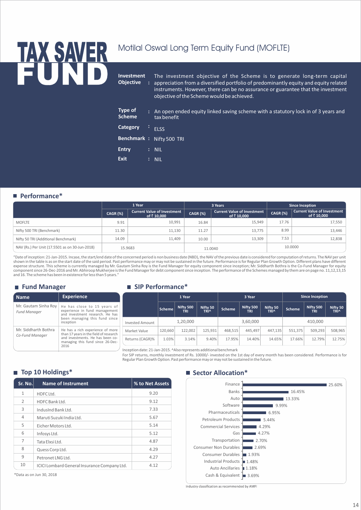## TAX SAVER Motilal Oswal Long Term Equity Fund (MOFLTE) FUND

**Investment Objective** The investment objective of the Scheme is to generate long-term capital appreciation from a diversified portfolio of predominantly equity and equity related instruments. However, there can be no assurance or guarantee that the investment objective of the Scheme would be achieved. **Type of Scheme** An open ended equity linked saving scheme with a statutory lock in of 3 years and **:** tax benefit **Benchmark : Nifty 500 TRI Category** : **ELSS Entry** : NIL **Exit** : NIL

#### **Performance\***

|                                                |                 | 1 Year                                            |          | 3 Years                                           | <b>Since Inception</b> |                                                   |  |
|------------------------------------------------|-----------------|---------------------------------------------------|----------|---------------------------------------------------|------------------------|---------------------------------------------------|--|
|                                                | <b>CAGR (%)</b> | <b>Current Value of Investment</b><br>of ₹ 10.000 | CAGR (%) | <b>Current Value of Investment</b><br>of ₹ 10.000 | <b>CAGR (%)</b>        | <b>Current Value of Investment</b><br>of ₹ 10,000 |  |
| <b>MOFLTE</b>                                  | 9.91            | 10,991                                            | 16.84    | 15.949                                            | 17.76                  | 17,550                                            |  |
| Nifty 500 TRI (Benchmark)                      | 11.30           | 11,130                                            | 11.27    | 13,775                                            | 8.99                   | 13,446                                            |  |
| Nifty 50 TRI (Additional Benchmark)            | 14.09           | 11.409                                            | 10.00    | 13.309                                            | 7.53                   | 12,838                                            |  |
| NAV (Rs.) Per Unit (17.5501 as on 30-Jun-2018) | 15.9683         |                                                   |          | 11.0040                                           | 10.0000                |                                                   |  |

"Date of inception: 21-Jan-2015. Incase, the start/end date of the concerned period is non business date (NBD), the NAV of the previous date is considered for computation of returns. The NAV per unit shown in the table is as on the start date of the said period. Past performance may or may not be sustained in the future. Performance is for Regular Plan Growth Option. Different plans have different expense structure. This scheme is currently managed by Mr. Gautam Sinha Roy is the Fund Manager for equity component since inception; Mr. Siddharth Bothra is the Co-Fund Manager for equity<br>component since 26-Dec-2016 and M and 16. The scheme has been in existence for less than 5 years."

**SIP Performance\***

#### **Fund Manager**

| <b>Name</b>                                 | <b>Experience</b>                                                                                                                                                     |                                                                    |         | 1 Year                  |                  |         | 3 Year                  |                  |         | <b>Since Inception</b>  |                         |
|---------------------------------------------|-----------------------------------------------------------------------------------------------------------------------------------------------------------------------|--------------------------------------------------------------------|---------|-------------------------|------------------|---------|-------------------------|------------------|---------|-------------------------|-------------------------|
| Mr. Gautam Sinha Roy<br><b>Fund Manager</b> | He has close to 15 years of<br>experience in fund management<br>and investment research. He has                                                                       |                                                                    | Scheme  | Nifty 500<br><b>TRI</b> | Nifty 50<br>TRI^ | Scheme  | Nifty 500<br><b>TRI</b> | Nifty 50<br>TRI^ | Scheme  | Nifty 500<br><b>TRI</b> | Nifty 50<br><b>TRI^</b> |
|                                             | been managing this fund since<br>inception                                                                                                                            | <b>Invested Amount</b>                                             |         | 1,20,000                |                  |         | 3,60,000                |                  |         | 410,000                 |                         |
| Mr. Siddharth Bothra                        | He has a rich experience of more<br>than 17 years in the field of research<br>Co-Fund Manager<br>and investments. He has been co-<br>managing this fund since 26-Dec- | Market Value                                                       | 120,660 | 122.002                 | 125.931          | 468.515 | 445.497                 | 447.135          | 551.375 | 509,293                 | 508,965                 |
|                                             |                                                                                                                                                                       | Returns (CAGR)%                                                    | 1.03%   | 3.14%                   | 9.40%            | 17.95%  | 14.40%                  | 14.65%           | 17.66%  | 12.79%                  | 12.75%                  |
|                                             | 2016                                                                                                                                                                  | Inception date: 21-Jan-2015. ^Also represents additional benchmark |         |                         |                  |         |                         |                  |         |                         |                         |

For SIP returns, monthly investment of Rs. 10000/- invested on the 1st day of every month has been considered. Performance is for Regular Plan Growth Option. Past performance may or may not be sustained in the future.

| Sr. No.        | <b>Name of Instrument</b>                    | % to Net Assets |
|----------------|----------------------------------------------|-----------------|
| $\mathbf{1}$   | HDFC Ltd.                                    | 9.20            |
| $\overline{2}$ | HDFC Bank Ltd.                               | 9.12            |
| 3              | IndusInd Bank Ltd.                           | 7.33            |
| 4              | Maruti Suzuki India Ltd.                     | 5.67            |
| 5              | Eicher Motors Ltd.                           | 5.14            |
| 6              | Infosys Ltd.                                 | 5.12            |
| 7              | Tata Elxsi Ltd.                              | 4.87            |
| 8              | Quess Corp Ltd.                              | 4.29            |
| 9              | Petronet LNG Ltd.                            | 4.27            |
| 10             | ICICI Lombard General Insurance Company Ltd. | 4.12            |

\*Data as on Jun 30, 2018

#### **Top 10 Holdings\* Sector Allocation**\*



Industry classification as recommended by AMFI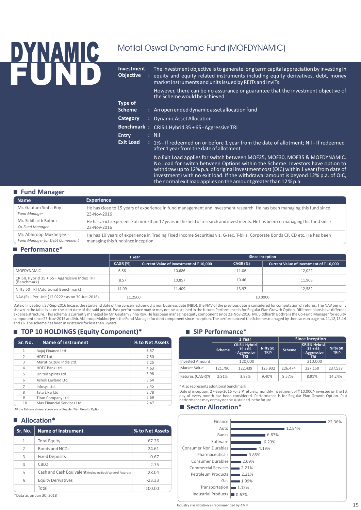## DYNAMIC Motilal Oswal Dynamic Fund (MOFDYNAMIC) **FUND Investment Objective**

| <b>Investment</b><br><b>Objective</b> | The investment objective is to generate long term capital appreciation by investing in<br>: equity and equity related instruments including equity derivatives, debt, money<br>market instruments and units issued by REITs and InvITs.                                                                                                                                                                                                                                                                                                                                                                                  |
|---------------------------------------|--------------------------------------------------------------------------------------------------------------------------------------------------------------------------------------------------------------------------------------------------------------------------------------------------------------------------------------------------------------------------------------------------------------------------------------------------------------------------------------------------------------------------------------------------------------------------------------------------------------------------|
|                                       | However, there can be no assurance or guarantee that the investment objective of<br>the Scheme would be achieved.                                                                                                                                                                                                                                                                                                                                                                                                                                                                                                        |
| Type of                               |                                                                                                                                                                                                                                                                                                                                                                                                                                                                                                                                                                                                                          |
| <b>Scheme</b>                         | : An open ended dynamic asset allocation fund                                                                                                                                                                                                                                                                                                                                                                                                                                                                                                                                                                            |
| Category                              | : Dynamic Asset Allocation                                                                                                                                                                                                                                                                                                                                                                                                                                                                                                                                                                                               |
|                                       | Benchmark: CRISIL Hybrid 35 + 65 - Aggressive TRI                                                                                                                                                                                                                                                                                                                                                                                                                                                                                                                                                                        |
| <b>Entry</b>                          | : Nil                                                                                                                                                                                                                                                                                                                                                                                                                                                                                                                                                                                                                    |
| <b>Exit Load</b>                      | : 1% - If redeemed on or before 1 year from the date of allotment; Nil - If redeemed<br>after 1 year from the date of allotment                                                                                                                                                                                                                                                                                                                                                                                                                                                                                          |
|                                       | No Exit Load applies for switch between MOF25, MOF30, MOF35 & MOFDYNAMIC.<br>No Load for switch between Options within the Scheme. Investors have option to<br>$\mathcal{L} = \mathcal{L} \mathcal{L} = \mathcal{L} \mathcal{L} = \mathcal{L} \mathcal{L} = \mathcal{L} \mathcal{L} = \mathcal{L} \mathcal{L} \mathcal{L} = \mathcal{L} \mathcal{L} \mathcal{L} = \mathcal{L} \mathcal{L} \mathcal{L} \mathcal{L} = \mathcal{L} \mathcal{L} \mathcal{L} \mathcal{L} \mathcal{L} = \mathcal{L} \mathcal{L} \mathcal{L} \mathcal{L} \mathcal{L} \mathcal{L} \mathcal{L} \mathcal{L} \mathcal{L} \mathcal{L} \mathcal{L} \$ |

withdraw up to 12% p.a. of original investment cost (OIC) within 1 year (from date of investment) with no exit load. If the withdrawal amount is beyond 12% p.a. of OIC, the normal exit load applies on the amount greater than 12 % p.a.

| ■ Fund Manager                         |                                                                                                                                  |
|----------------------------------------|----------------------------------------------------------------------------------------------------------------------------------|
| <b>Name</b>                            | <b>Experience</b>                                                                                                                |
| Mr. Gautam Sinha Roy -                 | He has close to 15 years of experience in fund management and investment research. He has been managing this fund since          |
| <b>Fund Manager</b>                    | 23-Nov-2016                                                                                                                      |
| Mr. Siddharth Bothra -                 | He has a rich experience of more than 17 years in the field of research and investments. He has been co-managing this fund since |
| Co-Fund Manager                        | 23-Nov-2016                                                                                                                      |
| Mr. Abhiroop Mukherjee -               | He has 10 years of experience in Trading Fixed Income Securities viz. G-sec, T-bills, Corporate Bonds CP, CD etc. He has been    |
| <b>Fund Manager for Debt Component</b> | managing this fund since inception                                                                                               |

#### **Performance\***

|                                                             | 1 Year          |                                        |          | <b>Since Inception</b>                 |
|-------------------------------------------------------------|-----------------|----------------------------------------|----------|----------------------------------------|
|                                                             | <b>CAGR (%)</b> | Current Value of Investment of ₹10,000 | CAGR (%) | Current Value of Investment of ₹10,000 |
| <b>MOFDYNAMIC</b>                                           | 6.86            | 10.686                                 | 11.06    | 12.022                                 |
| CRISIL Hybrid 35 + 65 - Aggressive Index TRI<br>(Benchmark) | 8.57            | 10,857                                 | 10.46    | 11.908                                 |
| Nifty 50 TRI (Additional Benchmark)                         | 14.09           | 11.409                                 | 13.97    | 12.582                                 |
| NAV (Rs.) Per Unit (12.0222 : as on 30-Jun-2018)            | 11.2500         |                                        |          | 10.0000                                |

Date of inception: 27-Sep-2016 Incase, the start/end date of the concerned period is non business date (NBD), the NAV of the previous date is considered for computation of returns. The NAV per unit shown in the table is as on the start date of the said period. Past performance may or may not be sustained in the future. Performance is for Regular Plan Growth Option. Different plans have different<br>expense structure. Th component since 23-Nov-2016 and Mr. Abhiroop Mukherjee is the Fund Manager for debt component since inception. The performanceof the Schemes managed by them are on page no. 11,12,13,14<br>and 16. The scheme has been in existe

#### ■ TOP 10 HOLDINGS (Equity Component)\*

|         |                             |                 |                                                                                                                                                                          | 1 Year        |                           | <b>Since Inception</b> |               |                           |  |  |
|---------|-----------------------------|-----------------|--------------------------------------------------------------------------------------------------------------------------------------------------------------------------|---------------|---------------------------|------------------------|---------------|---------------------------|--|--|
| Sr. No. | Name of Instrument          | % to Net Assets |                                                                                                                                                                          |               | <b>CRISIL Hybrid</b>      |                        |               | <b>CRISIL Hybrid</b>      |  |  |
|         | Bajaj Finance Ltd.          | 8.57            |                                                                                                                                                                          | <b>Scheme</b> | $35 + 65$<br>- Aggressive | Nifty 50<br>TRI^       | <b>Scheme</b> | $35 + 65$<br>- Aggressive |  |  |
|         | HDFC Ltd.                   | 7.50            |                                                                                                                                                                          |               | TRI                       |                        |               | <b>TRI</b>                |  |  |
| 3       | Maruti Suzuki India Ltd.    | 7.25            | <b>Invested Amount</b>                                                                                                                                                   | 120.000       |                           |                        |               | 210,000                   |  |  |
| 4       | HDFC Bank Ltd.              | 4.63            | Market Value                                                                                                                                                             | 121.790       | 122.439                   | 125.932                | 226,474       | 227,150                   |  |  |
|         | United Spirits Ltd.         | 3.98            | Returns (CAGR)%                                                                                                                                                          | 2.81%         | 3.83%                     | 9.40%                  | 8.57%         | 8.91%                     |  |  |
| 6       | Ashok Leyland Ltd.          | 3.64            |                                                                                                                                                                          |               |                           |                        |               |                           |  |  |
|         | Infosys Ltd.                | 3.45            | Also represents additional benchmark                                                                                                                                     |               |                           |                        |               |                           |  |  |
| 8       | Tata Elxsi Ltd.             | 2.78            | Date of inception: 27-Sep-2016 For SIP returns, monthly investment of ₹10,000/- invest<br>day of every month has been considered. Performance is for Regular Plan Growth |               |                           |                        |               |                           |  |  |
| 9       | Titan Company Ltd.          | 2.69            |                                                                                                                                                                          |               |                           |                        |               |                           |  |  |
| 10      | Max Financial Services Ltd. | 2.47            | performance may or may not be sustained in the future.<br>$\blacksquare$ Costar Allocation*                                                                              |               |                           |                        |               |                           |  |  |
|         |                             |                 |                                                                                                                                                                          |               |                           |                        |               |                           |  |  |

All the Returns shown above are of Regular Plan Growth Option

#### **Allocation\***

| Sr. No.        | <b>Name of Instrument</b>                                  | % to Net Assets |
|----------------|------------------------------------------------------------|-----------------|
| $\mathbf{1}$   | <b>Total Equity</b>                                        | 67.26           |
| $\overline{2}$ | Bonds and NCDs                                             | 24.61           |
| 3              | <b>Fixed Deposits</b>                                      | 0.67            |
| $\overline{4}$ | CBLO                                                       | 2.75            |
| 5              | Cash and Cash Equivalent (including Book Value of Futures) | 28.04           |
| 6              | <b>Equity Derivatives</b>                                  | $-23.33$        |
|                | Total                                                      | 100.00          |

#### \*Data as on Jun 30, 2018

#### **SIP Performance\***

|                        |               | 1 Year                                                                              |         | <b>Since Inception</b> |                                                                 |                         |
|------------------------|---------------|-------------------------------------------------------------------------------------|---------|------------------------|-----------------------------------------------------------------|-------------------------|
|                        | <b>Scheme</b> | <b>CRISIL Hybrid</b><br>Nifty 50<br>$35 + 65$<br>- Aggressive<br><b>TRI^</b><br>ŤRI |         | <b>Scheme</b>          | <b>CRISIL Hybrid</b><br>$35 + 65$<br>- Aggressive<br><b>TRI</b> | Nifty 50<br><b>TRI^</b> |
| <b>Invested Amount</b> |               | 120.000                                                                             |         |                        | 210.000                                                         |                         |
| Market Value           | 121.790       | 122.439                                                                             | 125.932 | 226.474                | 227.150                                                         | 237.538                 |
| Returns (CAGR)%        | 2.81%         | 3.83%                                                                               | 9.40%   | 8.57%                  | 8.91%                                                           | 14.24%                  |

Date of inception: 27-Sep-2016 For SIP returns, monthly investment of ₹10,000/- invested on the 1st day of every month has been considered. Performance is for Regular Plan Growth Option. Past performance may or may not be sustained in the future.

#### **Sector Allocation\***



Industry classification as recommended by AMFI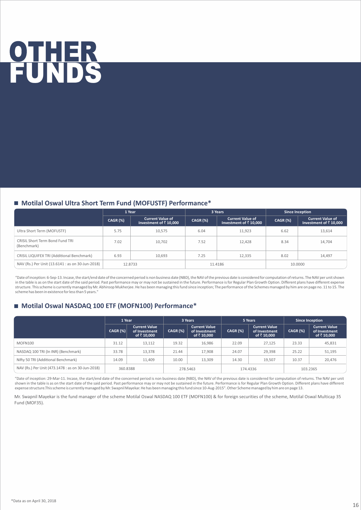## OTHER FUNDS

#### ■ Motilal Oswal Ultra Short Term Fund (MOFUSTF) Performance<sup>\*</sup>

|                                                  | 1 Year          |                                                           |          | 3 Years                                                   | <b>Since Inception</b> |                                                           |  |
|--------------------------------------------------|-----------------|-----------------------------------------------------------|----------|-----------------------------------------------------------|------------------------|-----------------------------------------------------------|--|
|                                                  | <b>CAGR (%)</b> | <b>Current Value of</b><br>Investment of $\bar{z}$ 10,000 | CAGR (%) | <b>Current Value of</b><br>Investment of $\bar{z}$ 10,000 | <b>CAGR (%)</b>        | <b>Current Value of</b><br>Investment of $\bar{z}$ 10,000 |  |
| Ultra Short Term (MOFUSTF)                       | 5.75            | 10,575                                                    | 6.04     | 11,923                                                    | 6.62                   | 13,614                                                    |  |
| CRISIL Short Term Bond Fund TRI<br>(Benchmark)   | 7.02            | 10,702                                                    | 7.52     | 12,428                                                    | 8.34                   | 14,704                                                    |  |
| CRISIL LIQUIFEX TRI (Additional Benchmark)       | 6.93            | 10.693                                                    | 7.25     | 12,335                                                    | 8.02                   | 14,497                                                    |  |
| NAV (Rs.) Per Unit (13.6141 : as on 30-Jun-2018) | 12.8733         |                                                           |          | 11.4186                                                   | 10,0000                |                                                           |  |

"Date of inception: 6-Sep-13. Incase, the start/end date of the concerned period is non business date (NBD), the NAV of the previous date is considered for computation of returns. The NAV per unit shown in the table is as on the start date of the said period. Past performance may or may not be sustained in the future. Performance is for Regular Plan Growth Option. Different plans have different expense structure. This scheme is currently managed by Mr. Abhiroop Mukherjee. He has been managing this fund since inception; The performance of the Schemes managed by him are on page no. 11 to 15. The scheme has been in existence for less than 5 years."

#### ■ Motilal Oswal NASDAQ 100 ETF (MOFN100) Performance<sup>\*</sup>

| 1 Year                                            |            |                                                      | 5 Years<br>3 Years |                                                      |                 | <b>Since Inception</b>                               |          |                                                     |
|---------------------------------------------------|------------|------------------------------------------------------|--------------------|------------------------------------------------------|-----------------|------------------------------------------------------|----------|-----------------------------------------------------|
|                                                   | $CAGR$ (%) | <b>Current Value</b><br>of Investment<br>of ₹ 10,000 | <b>CAGR (%)</b>    | <b>Current Value</b><br>of Investment<br>of ₹ 10.000 | <b>CAGR (%)</b> | <b>Current Value</b><br>of Investment<br>of ₹ 10.000 | CAGR (%) | <b>Current Value</b><br>of Investment<br>of ₹10.000 |
| MOFN100                                           | 31.12      | 13,112                                               | 19.32              | 16,986                                               | 22.09           | 27,125                                               | 23.33    | 45,831                                              |
| NASDAQ 100 TRI (In INR) (Benchmark)               | 33.78      | 13.378                                               | 21.44              | 17.908                                               | 24.07           | 29.398                                               | 25.22    | 51,195                                              |
| Nifty 50 TRI (Additional Benchmark)               | 14.09      | 11.409                                               | 10.00              | 13.309                                               | 14.30           | 19.507                                               | 10.37    | 20,476                                              |
| NAV (Rs.) Per Unit (473.1478 : as on 30-Jun-2018) | 360.8388   |                                                      |                    | 278.5463                                             |                 | 174.4336                                             |          | 103.2365                                            |

"Date of inception: 29-Mar-11. Incase, the start/end date of the concerned period is non business date (NBD), the NAV of the previous date is considered for computation of returns. The NAV per unit shown in the table is as on the start date of the said period. Past performance may or may not be sustained in the future. Performance is for Regular Plan Growth Option. Different plans have different expense structure.This scheme is currently managed by Mr. Swapnil Mayekar. He has been managing this fund since 10-Aug-2015". Other Scheme managed by him are on page 13.

Mr. Swapnil Mayekar is the fund manager of the scheme Motilal Oswal NASDAQ 100 ETF (MOFN100) & for foreign securities of the scheme, Motilal Oswal Multicap 35 Fund (MOF35).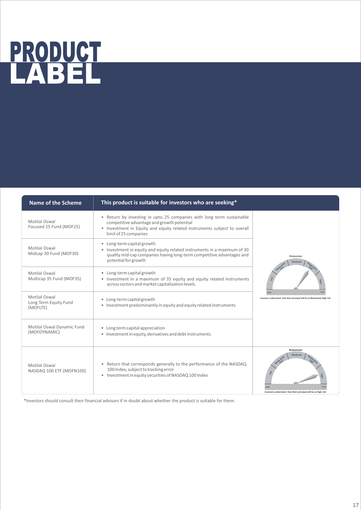## <u>PRODUCT</u> LABEL

| <b>Name of the Scheme</b>                          | This product is suitable for investors who are seeking*                                                                                                                                                                  |                                                                                                |
|----------------------------------------------------|--------------------------------------------------------------------------------------------------------------------------------------------------------------------------------------------------------------------------|------------------------------------------------------------------------------------------------|
| Motilal Oswal<br>Focused 25 Fund (MOF25)           | • Return by investing in upto 25 companies with long term sustainable<br>competitive advantage and growth potential<br>• Investment in Equity and equity related instruments subject to overall<br>limit of 25 companies |                                                                                                |
| Motilal Oswal<br>Midcap 30 Fund (MOF30)            | • Long-term capital growth<br>• Investment in equity and equity related instruments in a maximum of 30<br>quality mid-cap companies having long-term competitive advantages and<br>potential for growth                  | Riskometer<br><b>Modera</b>                                                                    |
| Motilal Oswal<br>Multicap 35 Fund (MOF35)          | • Long-term capital growth<br>• Investment in a maximum of 35 equity and equity related instruments<br>across sectors and market capitalization levels.                                                                  |                                                                                                |
| Motilal Oswal<br>Long Term Equity Fund<br>(MOFLTE) | • Long-term capital growth<br>• Investment predominantly in equity and equity related instruments                                                                                                                        | Investors understand that their principal will be at Moderately High                           |
| Motilal Oswal Dynamic Fund<br>(MOFDYNAMIC)         | • Long term capital appreciation<br>• Investment in equity, derivatives and debt instruments                                                                                                                             |                                                                                                |
| Motilal Oswal<br>NASDAQ 100 ETF (MOFN100)          | • Return that corresponds generally to the performance of the NASDAQ<br>100 Index, subject to tracking error<br>• Investment in equity securities of NASDAQ 100 Index                                                    | Riskometer<br><b>Moderat</b><br>Investors understand that their principal will be at High risk |

\*Investors should consult their financial advisors if in doubt about whether the product is suitable for them.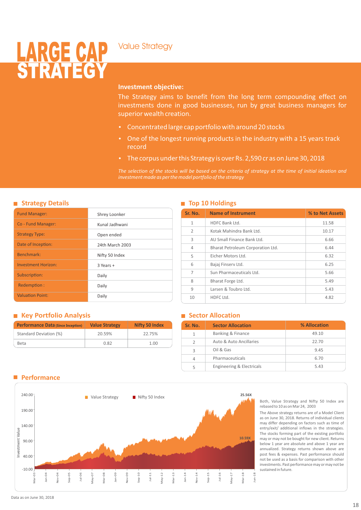### Value Strategy

## <u>LARUE VAP</u> STRATEGY

#### **Investment objective:**

The Strategy aims to benefit from the long term compounding effect on investments done in good businesses, run by great business managers for superior wealth creation.

- Concentrated large cap portfolio with around 20 stocks
- One of the longest running products in the industry with a 15 years track record
- The corpus under this Strategy is over Rs. 2,590 cr as on June 30, 2018

*The selection of the stocks will be based on the criteria of strategy at the time of initial ideation and investment made as per the model portfolio of the strategy*

| <b>Strategy Details</b> |  |
|-------------------------|--|
|                         |  |

| <b>Fund Manager:</b>       | Shrey Loonker   |
|----------------------------|-----------------|
| Co - Fund Manager:         | Kunal Jadhwani  |
| <b>Strategy Type:</b>      | Open ended      |
| Date of Inception:         | 24th March 2003 |
| Benchmark:                 | Nifty 50 Index  |
| <b>Investment Horizon:</b> | $3$ Years +     |
| Subscription:              | Daily           |
| Redemption:                | Daily           |
| <b>Valuation Point:</b>    | Daily           |

#### **Strategy Details Top 10 Holdings**

| Sr. No.        | <b>Name of Instrument</b>         | % to Net Assets |
|----------------|-----------------------------------|-----------------|
| $\mathbf{1}$   | HDFC Bank Ltd.                    | 11.58           |
| $\overline{2}$ | Kotak Mahindra Bank I td.         | 10.17           |
| 3              | AU Small Finance Bank Itd.        | 6.66            |
| $\overline{4}$ | Bharat Petroleum Corporation Ltd. | 6.44            |
| 5              | Eicher Motors Ltd.                | 6.32            |
| 6              | Bajaj Finserv Ltd.                | 6.25            |
| 7              | Sun Pharmaceuticals Ltd.          | 5.66            |
| 8              | Bharat Forge Ltd.                 | 5.49            |
| 9              | Larsen & Toubro Ltd.              | 5.43            |
| 10             | HDFC Ltd.                         | 4.82            |

#### **Key Portfolio Analysis**

| <b>Performance Data (Since Inception)</b> | <b>Value Strategy</b> | <b>Nifty 50 Index</b> |
|-------------------------------------------|-----------------------|-----------------------|
| Standard Deviation (%)                    | 20.59%                | 22.75%                |
| Beta                                      | 0.82                  | 1.00                  |

#### **Sector Allocation**

| Sr. No.       | <b>Sector Allocation</b>  | % Allocation |
|---------------|---------------------------|--------------|
| 1             | Banking & Finance         | 49.10        |
| $\mathcal{P}$ | Auto & Auto Ancillaries   | 22.70        |
| 3             | Oil & Gas                 | 9.45         |
|               | Pharmaceuticals           | 6.70         |
|               | Engineering & Electricals | 5.43         |

#### **Performance**



Both, Value Strategy and Nifty 50 Index are rebased to 10 as on Mar 24, 2003

The Above strategy returns are of a Model Client as on June 30, 2018. Returns of individual clients may differ depending on factors such as time of entry/exit/ additional inflows in the strategies. The stocks forming part of the existing portfolio may or may not be bought for new client. Returns below 1 year are absolute and above 1 year are annualized. Strategy returns shown above are post fees & expenses. Past performance should not be used as a basis for comparison with other investments. Past performance may or may not be sustained in future.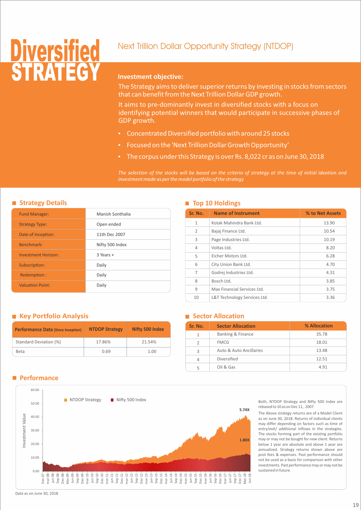## **Diversified** Next Trillion Dollar Opportunity Strategy (NTDOP) SIKAIEGY

#### **Investment objective:**

The Strategy aims to deliver superior returns by investing in stocks from sectors that can benefit from the Next Trillion Dollar GDP growth.

It aims to pre-dominantly invest in diversified stocks with a focus on identifying potential winners that would participate in successive phases of GDP growth.

- Concentrated Diversified portfolio with around 25 stocks
- Focused on the 'Next Trillion Dollar Growth Opportunity'
- The corpus under this Strategy is over Rs. 8,022 cr as on June 30, 2018

*The selection of the stocks will be based on the criteria of strategy at the time of initial ideation and investment made as per the model portfolio of the strategy*

#### **Strategy Details**

| <b>Fund Manager:</b>       | Manish Sonthalia |
|----------------------------|------------------|
| <b>Strategy Type:</b>      | Open ended       |
| Date of Inception:         | 11th Dec 2007    |
| Benchmark:                 | Nifty 500 Index  |
| <b>Investment Horizon:</b> | $3$ Years +      |
| Subscription:              | Daily            |
| Redemption:                | Daily            |
| <b>Valuation Point:</b>    | Daily            |

#### **Top 10 Holdings**

| Sr. No.        | <b>Name of Instrument</b>    | % to Net Assets |
|----------------|------------------------------|-----------------|
| $\mathbf{1}$   | Kotak Mahindra Bank Ltd.     | 13.90           |
| $\overline{2}$ | Bajaj Finance Ltd.           | 10.54           |
| 3              | Page Industries Ltd.         | 10.19           |
| 4              | Voltas Ltd.                  | 8.20            |
| 5              | Eicher Motors Ltd.           | 6.28            |
| 6              | City Union Bank Ltd.         | 4.70            |
| 7              | Godrej Industries Ltd.       | 4.31            |
| 8              | Bosch Ltd.                   | 3.85            |
| 9              | Max Financial Services Ltd.  | 3.75            |
| 10             | L&T Technology Services Ltd. | 3.36            |

#### **Key Portfolio Analysis**

| <b>Performance Data (Since Inception)</b> | <b>NTDOP Strategy</b> | Nifty 500 Index |  |
|-------------------------------------------|-----------------------|-----------------|--|
| Standard Deviation (%)                    | 17.86%                | 21.54%          |  |
| Beta                                      | 0.69                  | 1.00            |  |

#### **Sector Allocation**

| Sr. No.       | <b>Sector Allocation</b> | % Allocation |
|---------------|--------------------------|--------------|
| 1             | Banking & Finance        | 35.78        |
| $\mathcal{P}$ | <b>FMCG</b>              | 18.01        |
| 3             | Auto & Auto Ancillaries  | 13.48        |
|               | Diversified              | 12.51        |
|               | Oil & Gas                | 4.91         |

#### **Performance**



Both, NTDOP Strategy and Nifty 500 Index are rebased to 10 as on Dec 11, 2007

The Above strategy returns are of a Model Client as on June 30, 2018. Returns of individual clients may differ depending on factors such as time of entry/exit/ additional inflows in the strategies. The stocks forming part of the existing portfolio may or may not be bought for new client. Returns below 1 year are absolute and above 1 year are annualized. Strategy returns shown above are post fees & expenses. Past performance should not be used as a basis for comparison with other investments. Past performance may or may not be sustained in future.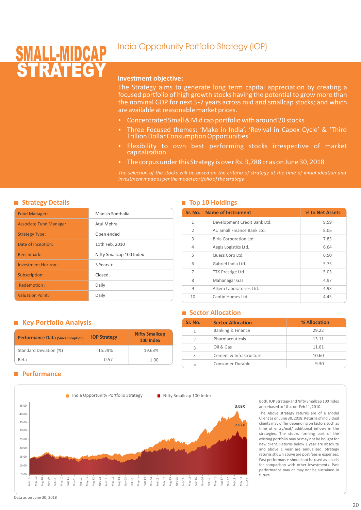### India Opportunity Portfolio Strategy (IOP)

## **STRATEGY** SMALL-MIDGAP

#### **Investment objective:**

The Strategy aims to generate long term capital appreciation by creating a focused portfolio of high growth stocks having the potential to grow more than the nominal GDP for next 5-7 years across mid and smallcap stocks; and which are available at reasonable market prices.

- Concentrated Small & Mid cap portfolio with around 20 stocks
- Three Focused themes: 'Make in India', 'Revival in Capex Cycle' & 'Third Trillion Dollar Consumption Opportunities'
- Flexibility to own best performing stocks irrespective of market capitalization
- The corpus under this Strategy is over Rs. 3,788 cr as on June 30, 2018

*The selection of the stocks will be based on the criteria of strategy at the time of initial ideation and investment made as per the model portfolio of the strategy*

#### **Strategy Details**

| <b>Fund Manager:</b>          | Manish Sonthalia         |
|-------------------------------|--------------------------|
| <b>Associate Fund Manager</b> | Atul Mehra               |
| <b>Strategy Type:</b>         | Open ended               |
| Date of Inception:            | 11th Feb. 2010           |
| Benchmark:                    | Nifty Smallcap 100 Index |
| <b>Investment Horizon:</b>    | $3$ Years +              |
| Subscription:                 | Closed                   |
| Redemption:                   | Daily                    |
| <b>Valuation Point:</b>       | Daily                    |

#### **Top 10 Holdings**

| Sr. No.        | <b>Name of Instrument</b>    | % to Net Assets |
|----------------|------------------------------|-----------------|
| $\mathbf{1}$   | Development Credit Bank Ltd. | 9.59            |
| $\overline{2}$ | AU Small Finance Bank Ltd.   | 8.06            |
| 3              | Birla Corporation Ltd.       | 7.83            |
| 4              | Aegis Logistics Ltd.         | 6.64            |
| 5              | Quess Corp Ltd.              | 6.50            |
| 6              | Gabriel India Ltd.           | 5.75            |
| 7              | TTK Prestige Ltd.            | 5.03            |
| 8              | Mahanagar Gas                | 4.97            |
| 9              | Alkem Laboratories Ltd.      | 4.93            |
| 10             | Canfin Homes Ltd.            | 4.45            |

#### **Sector Allocation**

| Sr. No.       | <b>Sector Allocation</b> | % Allocation |
|---------------|--------------------------|--------------|
|               | Banking & Finance        | 29.22        |
| $\mathcal{D}$ | Pharmaceuticals          | 13.11        |
| ς             | Oil & Gas                | 11.61        |
| Δ             | Cement & Infrastructure  | 10.60        |
|               | Consumer Durable         | 9.30         |

#### **Key Portfolio Analysis**

| <b>Performance Data (Since Inception)</b> | <b>IOP Strategy</b> | <b>Nifty Smallcap</b><br>100 Index |
|-------------------------------------------|---------------------|------------------------------------|
| Standard Deviation (%)                    | 15.29%              | 19.63%                             |
| <b>Beta</b>                               | 0.57                | 1.00                               |

#### **Performance**



Both, IOP Strategy and Nifty Smallcap 100 Index are rebased to 10 as on Feb 11, 2010.

The Above strategy returns are of a Model Client as on June 30, 2018. Returns of individual clients may differ depending on factors such as time of entry/exit/ additional inflows in the strategies. The stocks forming part of the existing portfolio may or may not be bought for new client. Returns below 1 year are absolute and above 1 year are annualized. Strategy returns shown above are post fees & expenses. Past performance should not be used as a basis for comparison with other investments. Past performance may or may not be sustained in future.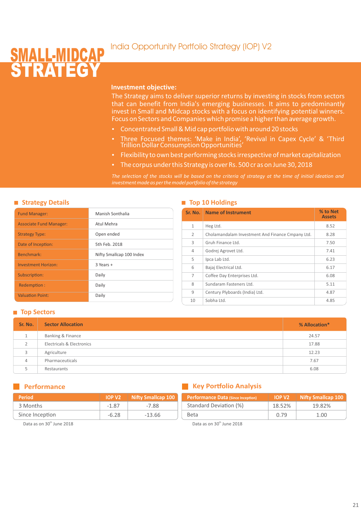### India Opportunity Portfolio Strategy (IOP) V2

### SMALL-MIDCAP **STRATEGY**

#### **Investment objective:**

The Strategy aims to deliver superior returns by investing in stocks from sectors that can benefit from India's emerging businesses. It aims to predominantly invest in Small and Midcap stocks with a focus on identifying potential winners. Focus on Sectors and Companies which promise a higher than average growth.

- Concentrated Small & Mid cap portfolio with around 20 stocks
- Three Focused themes: 'Make in India', 'Revival in Capex Cycle' & 'Third Trillion Dollar Consumption Opportunities'
- Flexibility to own best performing stocks irrespective of market capitalization
- The corpus under this Strategy is over Rs. 500 cr as on June 30, 2018

*The selection of the stocks will be based on the criteria of strategy at the time of initial ideation and investment made as per the model portfolio of the strategy*

#### **Strategy Details**

| <b>Fund Manager:</b>           | Manish Sonthalia         |
|--------------------------------|--------------------------|
| <b>Associate Fund Manager:</b> | Atul Mehra               |
| <b>Strategy Type:</b>          | Open ended               |
| Date of Inception:             | 5th Feb. 2018            |
| Benchmark:                     | Nifty Smallcap 100 Index |
| <b>Investment Horizon:</b>     | $3$ Years +              |
| Subscription:                  | Daily                    |
| Redemption:                    | Daily                    |
| <b>Valuation Point:</b>        | Daily                    |

#### **Top 10 Holdings**

| Sr. No.      | <b>Name of Instrument</b>                        | % to Net<br><b>Assets</b> |
|--------------|--------------------------------------------------|---------------------------|
| $\mathbf{1}$ | Heg Ltd.                                         | 8.52                      |
| 2            | Cholamandalam Investment And Finance Cmpany Ltd. | 8.28                      |
| 3            | Gruh Finance Itd.                                | 7.50                      |
| 4            | Godrej Agrovet Ltd.                              | 7.41                      |
| 5            | Ipca Lab Ltd.                                    | 6.23                      |
| 6            | Bajaj Electrical Ltd.                            | 6.17                      |
| 7            | Coffee Day Enterprises Ltd.                      | 6.08                      |
| 8            | Sundaram Fasteners Ltd.                          | 5.11                      |
| 9            | Century Plyboards (India) Ltd.                   | 4.87                      |
| 10           | Sobha Ltd.                                       | 4.85                      |

**Performance Data (Since Inception) IOP V2 Nifty Smallcap 100** 

18.52% 0.79

#### ■ **Top Sectors**

| Sr. No.        | <b>Sector Allocation</b>  | % Allocation* |
|----------------|---------------------------|---------------|
|                | Banking & Finance         | 24.57         |
| 2              | Electricals & Electronics | 17.88         |
| 3              | Agriculture               | 12.23         |
| $\overline{4}$ | Pharmaceuticals           | 7.67          |
|                | Restaurants               | 6.08          |

#### **Performance**

#### **Key Portfolio Analysis**

| <b>Period</b>   | <b>IOP V2</b> | <b>Nifty Smallcap 100</b> |
|-----------------|---------------|---------------------------|
| 3 Months        | -1.87         | -7.88                     |
| Since Inception | $-6.28$       | $-13.66$                  |

#### Data as on 30<sup>th</sup> June 2018

Standard Deviation (%)

Beta

19.82% 1.00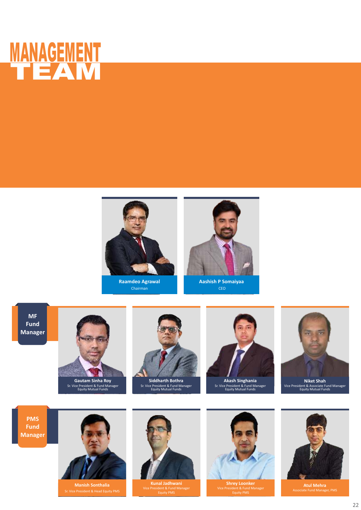



**Raamdeo Agrawal** Chairman



**Aashish P Somaiyaa** CEO

**MF Fund Manager**



**Gautam Sinha Roy<br>Sr. Vice President & Fund Manager<br>Equity Mutual Funds** 



**Siddharth Bothra** Sr. Vice President & Fund Manager Equity Mutual Funds



**Akash Singhania** Sr. Vice President & Fund Manager Equity Mutual Funds



Vice President & Associate Fund Manager Equity Mutual Funds **Niket Shah**





**Manish Sonthalia**



**Kunal Jadhwani** Vice President & Fund Manager



**Shrey Loonker** Vice President & Fund Manager Equity PM



**Atul Mehra** Associate Fund Manager, PMS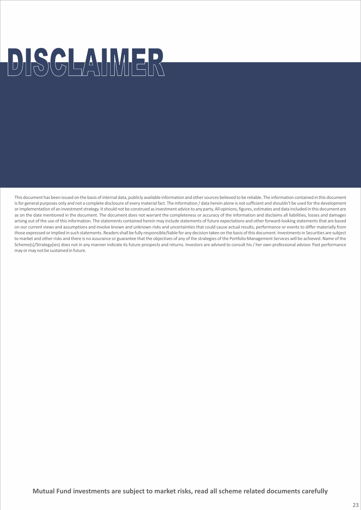# DISCLAIMER

This document has been issued on the basis of internal data, publicly available information and other sources believed to be reliable. The information contained in this document is for general purposes only and not a complete disclosure of every material fact. The information / data herein alone is not sufficient and shouldn't be used for the development or implementation of an investment strategy. It should not be construed as investment advice to any party. All opinions, figures, estimates and data included in this document are as on the date mentioned in the document. The document does not warrant the completeness or accuracy of the information and disclaims all liabilities, losses and damages arising out of the use of this information. The statements contained herein may include statements of future expectations and other forward-looking statements that are based on our current views and assumptions and involve known and unknown risks and uncertainties that could cause actual results, performance or events to differ materially from those expressed or implied in such statements. Readers shall be fully responsible/liable for any decision taken on the basis of this document. Investments in Securities are subject to market and other risks and there is no assurance or guarantee that the objectives of any of the strategies of the Portfolio Management Services will be achieved. Name of the Scheme(s)/Strategy(ies) does not in any manner indicate its future prospects and returns. Investors are advised to consult his / her own professional advisor. Past performance may or may not be sustained in future.